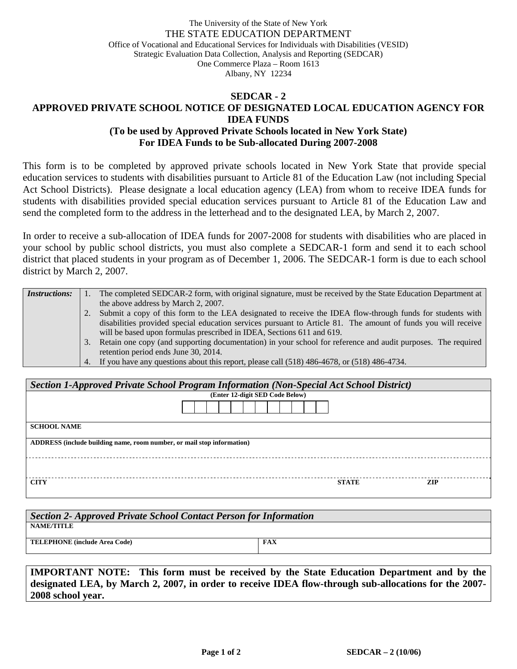## The University of the State of New York THE STATE EDUCATION DEPARTMENT Office of Vocational and Educational Services for Individuals with Disabilities (VESID) Strategic Evaluation Data Collection, Analysis and Reporting (SEDCAR) One Commerce Plaza – Room 1613 Albany, NY 12234

## **SEDCAR - 2 APPROVED PRIVATE SCHOOL NOTICE OF DESIGNATED LOCAL EDUCATION AGENCY FOR IDEA FUNDS (To be used by Approved Private Schools located in New York State) For IDEA Funds to be Sub-allocated During 2007-2008**

This form is to be completed by approved private schools located in New York State that provide special education services to students with disabilities pursuant to Article 81 of the Education Law (not including Special Act School Districts). Please designate a local education agency (LEA) from whom to receive IDEA funds for students with disabilities provided special education services pursuant to Article 81 of the Education Law and send the completed form to the address in the letterhead and to the designated LEA, by March 2, 2007.

In order to receive a sub-allocation of IDEA funds for 2007-2008 for students with disabilities who are placed in your school by public school districts, you must also complete a SEDCAR-1 form and send it to each school district that placed students in your program as of December 1, 2006. The SEDCAR-1 form is due to each school district by March 2, 2007.

| <i>Instructions:</i> |    | The completed SEDCAR-2 form, with original signature, must be received by the State Education Department at   |
|----------------------|----|---------------------------------------------------------------------------------------------------------------|
|                      |    | the above address by March 2, 2007.                                                                           |
|                      |    | Submit a copy of this form to the LEA designated to receive the IDEA flow-through funds for students with     |
|                      |    | disabilities provided special education services pursuant to Article 81. The amount of funds you will receive |
|                      |    | will be based upon formulas prescribed in IDEA, Sections 611 and 619.                                         |
|                      | 3. | Retain one copy (and supporting documentation) in your school for reference and audit purposes. The required  |
|                      |    | retention period ends June 30, 2014.                                                                          |
|                      |    | 4. If you have any questions about this report, please call (518) 486-4678, or (518) 486-4734.                |

| Section 1-Approved Private School Program Information (Non-Special Act School District) |                                 |  |  |  |  |  |  |  |
|-----------------------------------------------------------------------------------------|---------------------------------|--|--|--|--|--|--|--|
|                                                                                         | (Enter 12-digit SED Code Below) |  |  |  |  |  |  |  |
|                                                                                         |                                 |  |  |  |  |  |  |  |
| <b>SCHOOL NAME</b>                                                                      |                                 |  |  |  |  |  |  |  |
| ADDRESS (include building name, room number, or mail stop information)                  |                                 |  |  |  |  |  |  |  |
|                                                                                         |                                 |  |  |  |  |  |  |  |
| <b>CITY</b>                                                                             | <b>STATE</b><br><b>ZIP</b>      |  |  |  |  |  |  |  |

| Section 2- Approved Private School Contact Person for Information |     |  |  |  |  |  |
|-------------------------------------------------------------------|-----|--|--|--|--|--|
| <b>NAME/TITLE</b>                                                 |     |  |  |  |  |  |
| <b>TELEPHONE</b> (include Area Code)                              | FAX |  |  |  |  |  |
|                                                                   |     |  |  |  |  |  |

**IMPORTANT NOTE: This form must be received by the State Education Department and by the designated LEA, by March 2, 2007, in order to receive IDEA flow-through sub-allocations for the 2007- 2008 school year.**